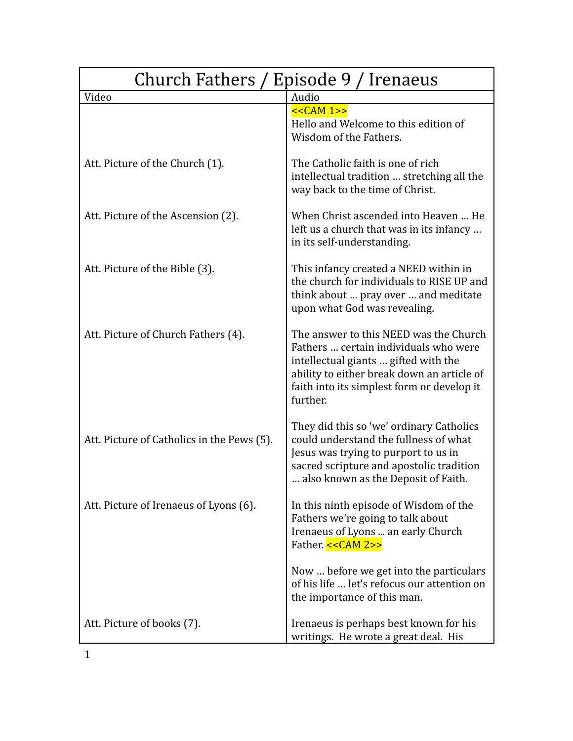| / Episode 9 / Irenaeus<br><b>Church Fathers</b> |                                                                                                                                                                                                                                 |
|-------------------------------------------------|---------------------------------------------------------------------------------------------------------------------------------------------------------------------------------------------------------------------------------|
| Video                                           | Audio                                                                                                                                                                                                                           |
|                                                 | $<<CAM 1>>$<br>Hello and Welcome to this edition of<br>Wisdom of the Fathers.                                                                                                                                                   |
| Att. Picture of the Church (1).                 | The Catholic faith is one of rich<br>intellectual tradition  stretching all the<br>way back to the time of Christ.                                                                                                              |
| Att. Picture of the Ascension (2).              | When Christ ascended into Heaven  He<br>left us a church that was in its infancy<br>in its self-understanding.                                                                                                                  |
| Att. Picture of the Bible (3).                  | This infancy created a NEED within in<br>the church for individuals to RISE UP and<br>think about  pray over  and meditate<br>upon what God was revealing.                                                                      |
| Att. Picture of Church Fathers (4).             | The answer to this NEED was the Church<br>Fathers  certain individuals who were<br>intellectual giants  gifted with the<br>ability to either break down an article of<br>faith into its simplest form or develop it<br>further. |
| Att. Picture of Catholics in the Pews (5).      | They did this so 'we' ordinary Catholics<br>could understand the fullness of what<br>Jesus was trying to purport to us in<br>sacred scripture and apostolic tradition<br>also known as the Deposit of Faith.                    |
| Att. Picture of Irenaeus of Lyons (6).          | In this ninth episode of Wisdom of the<br>Fathers we're going to talk about<br>Irenaeus of Lyons  an early Church<br>Father. << CAM 2>>                                                                                         |
|                                                 | Now  before we get into the particulars<br>of his life  let's refocus our attention on<br>the importance of this man.                                                                                                           |
| Att. Picture of books (7).                      | Irenaeus is perhaps best known for his<br>writings. He wrote a great deal. His                                                                                                                                                  |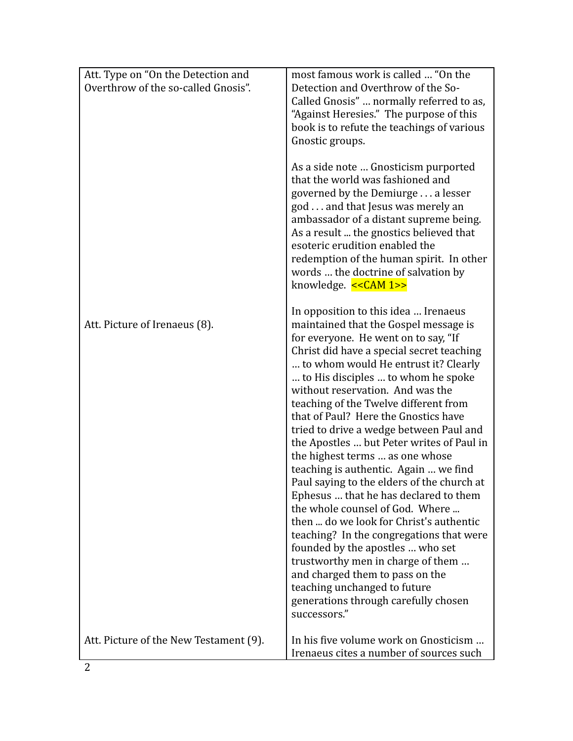| Att. Type on "On the Detection and     | most famous work is called  "On the                                                                                                                                                                                                                                                                                                                         |
|----------------------------------------|-------------------------------------------------------------------------------------------------------------------------------------------------------------------------------------------------------------------------------------------------------------------------------------------------------------------------------------------------------------|
| Overthrow of the so-called Gnosis".    | Detection and Overthrow of the So-                                                                                                                                                                                                                                                                                                                          |
|                                        | Called Gnosis"  normally referred to as,                                                                                                                                                                                                                                                                                                                    |
|                                        | "Against Heresies." The purpose of this<br>book is to refute the teachings of various                                                                                                                                                                                                                                                                       |
|                                        | Gnostic groups.                                                                                                                                                                                                                                                                                                                                             |
|                                        |                                                                                                                                                                                                                                                                                                                                                             |
|                                        | As a side note  Gnosticism purported<br>that the world was fashioned and<br>governed by the Demiurge a lesser<br>god and that Jesus was merely an<br>ambassador of a distant supreme being.<br>As a result  the gnostics believed that<br>esoteric erudition enabled the<br>redemption of the human spirit. In other<br>words  the doctrine of salvation by |
|                                        | knowledge. $<<CAM 1>>$                                                                                                                                                                                                                                                                                                                                      |
| Att. Picture of Irenaeus (8).          | In opposition to this idea  Irenaeus<br>maintained that the Gospel message is                                                                                                                                                                                                                                                                               |
|                                        | for everyone. He went on to say, "If<br>Christ did have a special secret teaching                                                                                                                                                                                                                                                                           |
|                                        | to whom would He entrust it? Clearly                                                                                                                                                                                                                                                                                                                        |
|                                        | to His disciples  to whom he spoke                                                                                                                                                                                                                                                                                                                          |
|                                        | without reservation. And was the                                                                                                                                                                                                                                                                                                                            |
|                                        | teaching of the Twelve different from                                                                                                                                                                                                                                                                                                                       |
|                                        | that of Paul? Here the Gnostics have<br>tried to drive a wedge between Paul and                                                                                                                                                                                                                                                                             |
|                                        | the Apostles  but Peter writes of Paul in                                                                                                                                                                                                                                                                                                                   |
|                                        | the highest terms  as one whose                                                                                                                                                                                                                                                                                                                             |
|                                        | teaching is authentic. Again  we find                                                                                                                                                                                                                                                                                                                       |
|                                        | Paul saying to the elders of the church at                                                                                                                                                                                                                                                                                                                  |
|                                        | Ephesus  that he has declared to them                                                                                                                                                                                                                                                                                                                       |
|                                        | the whole counsel of God. Where<br>then  do we look for Christ's authentic                                                                                                                                                                                                                                                                                  |
|                                        | teaching? In the congregations that were                                                                                                                                                                                                                                                                                                                    |
|                                        | founded by the apostles  who set                                                                                                                                                                                                                                                                                                                            |
|                                        | trustworthy men in charge of them                                                                                                                                                                                                                                                                                                                           |
|                                        | and charged them to pass on the                                                                                                                                                                                                                                                                                                                             |
|                                        | teaching unchanged to future                                                                                                                                                                                                                                                                                                                                |
|                                        | generations through carefully chosen<br>successors."                                                                                                                                                                                                                                                                                                        |
| Att. Picture of the New Testament (9). | In his five volume work on Gnosticism                                                                                                                                                                                                                                                                                                                       |
|                                        | Irenaeus cites a number of sources such                                                                                                                                                                                                                                                                                                                     |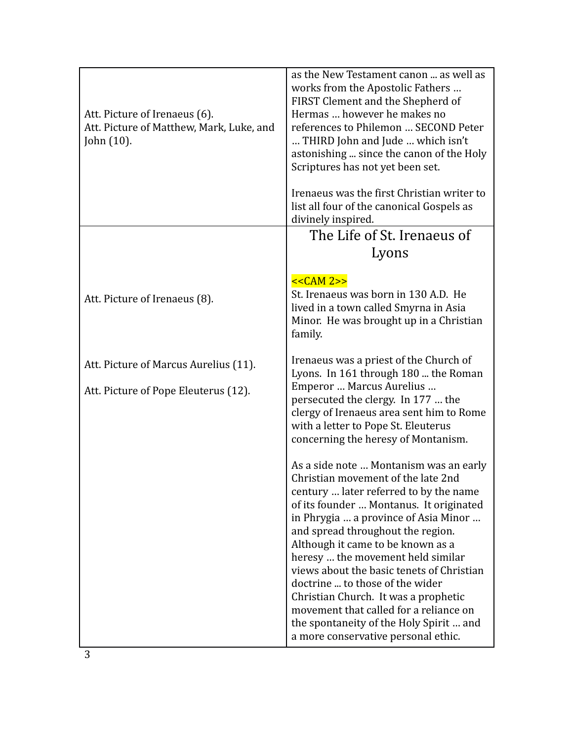| Att. Picture of Irenaeus (6).<br>Att. Picture of Matthew, Mark, Luke, and<br>John $(10)$ . | as the New Testament canon  as well as<br>works from the Apostolic Fathers<br>FIRST Clement and the Shepherd of<br>Hermas  however he makes no<br>references to Philemon  SECOND Peter<br>THIRD John and Jude  which isn't<br>astonishing  since the canon of the Holy<br>Scriptures has not yet been set.<br>Irenaeus was the first Christian writer to<br>list all four of the canonical Gospels as<br>divinely inspired.                                                                                                                                                  |
|--------------------------------------------------------------------------------------------|------------------------------------------------------------------------------------------------------------------------------------------------------------------------------------------------------------------------------------------------------------------------------------------------------------------------------------------------------------------------------------------------------------------------------------------------------------------------------------------------------------------------------------------------------------------------------|
|                                                                                            | The Life of St. Irenaeus of                                                                                                                                                                                                                                                                                                                                                                                                                                                                                                                                                  |
|                                                                                            | Lyons                                                                                                                                                                                                                                                                                                                                                                                                                                                                                                                                                                        |
| Att. Picture of Irenaeus (8).                                                              | $<<CAM 2>>$<br>St. Irenaeus was born in 130 A.D. He<br>lived in a town called Smyrna in Asia<br>Minor. He was brought up in a Christian<br>family.                                                                                                                                                                                                                                                                                                                                                                                                                           |
| Att. Picture of Marcus Aurelius (11).                                                      | Irenaeus was a priest of the Church of<br>Lyons. In 161 through 180  the Roman                                                                                                                                                                                                                                                                                                                                                                                                                                                                                               |
| Att. Picture of Pope Eleuterus (12).                                                       | Emperor  Marcus Aurelius<br>persecuted the clergy. In 177  the<br>clergy of Irenaeus area sent him to Rome<br>with a letter to Pope St. Eleuterus<br>concerning the heresy of Montanism.                                                                                                                                                                                                                                                                                                                                                                                     |
|                                                                                            | As a side note  Montanism was an early<br>Christian movement of the late 2nd<br>century  later referred to by the name<br>of its founder  Montanus. It originated<br>in Phrygia  a province of Asia Minor<br>and spread throughout the region.<br>Although it came to be known as a<br>heresy  the movement held similar<br>views about the basic tenets of Christian<br>doctrine  to those of the wider<br>Christian Church. It was a prophetic<br>movement that called for a reliance on<br>the spontaneity of the Holy Spirit  and<br>a more conservative personal ethic. |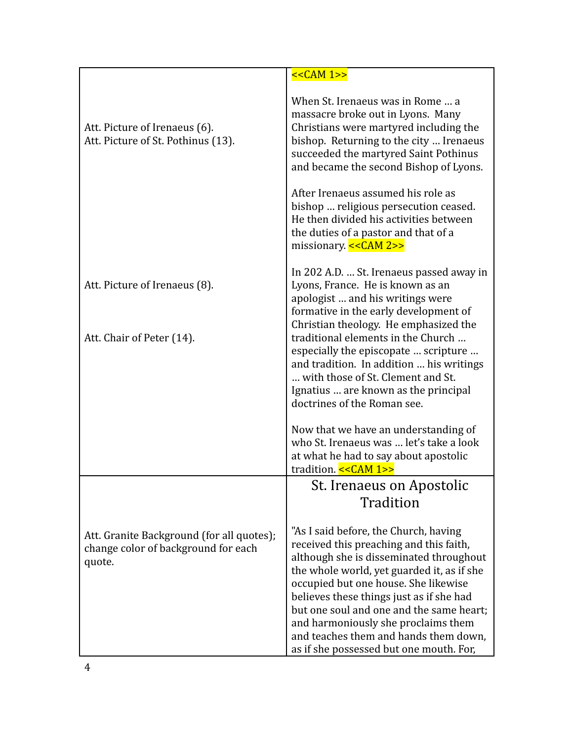|                                                                                            | << <b>CAM</b> 1>>                                                                                                                                                                                                                                                                                                                                                                         |
|--------------------------------------------------------------------------------------------|-------------------------------------------------------------------------------------------------------------------------------------------------------------------------------------------------------------------------------------------------------------------------------------------------------------------------------------------------------------------------------------------|
| Att. Picture of Irenaeus (6).<br>Att. Picture of St. Pothinus (13).                        | When St. Irenaeus was in Rome  a<br>massacre broke out in Lyons. Many<br>Christians were martyred including the<br>bishop. Returning to the city  Irenaeus<br>succeeded the martyred Saint Pothinus<br>and became the second Bishop of Lyons.                                                                                                                                             |
|                                                                                            | After Irenaeus assumed his role as<br>bishop  religious persecution ceased.<br>He then divided his activities between<br>the duties of a pastor and that of a<br>missionary. $<<CAM 2>>$                                                                                                                                                                                                  |
| Att. Picture of Irenaeus (8).                                                              | In 202 A.D.  St. Irenaeus passed away in<br>Lyons, France. He is known as an<br>apologist  and his writings were<br>formative in the early development of<br>Christian theology. He emphasized the                                                                                                                                                                                        |
| Att. Chair of Peter (14).                                                                  | traditional elements in the Church<br>especially the episcopate  scripture<br>and tradition. In addition  his writings<br>with those of St. Clement and St.<br>Ignatius  are known as the principal<br>doctrines of the Roman see.                                                                                                                                                        |
|                                                                                            | Now that we have an understanding of<br>who St. Irenaeus was  let's take a look<br>at what he had to say about apostolic<br>tradition. << CAM 1>>                                                                                                                                                                                                                                         |
|                                                                                            | St. Irenaeus on Apostolic                                                                                                                                                                                                                                                                                                                                                                 |
|                                                                                            | Tradition                                                                                                                                                                                                                                                                                                                                                                                 |
| Att. Granite Background (for all quotes);<br>change color of background for each<br>quote. | "As I said before, the Church, having<br>received this preaching and this faith,<br>although she is disseminated throughout<br>the whole world, yet guarded it, as if she<br>occupied but one house. She likewise<br>believes these things just as if she had<br>but one soul and one and the same heart;<br>and harmoniously she proclaims them<br>and teaches them and hands them down, |
|                                                                                            | as if she possessed but one mouth. For,                                                                                                                                                                                                                                                                                                                                                   |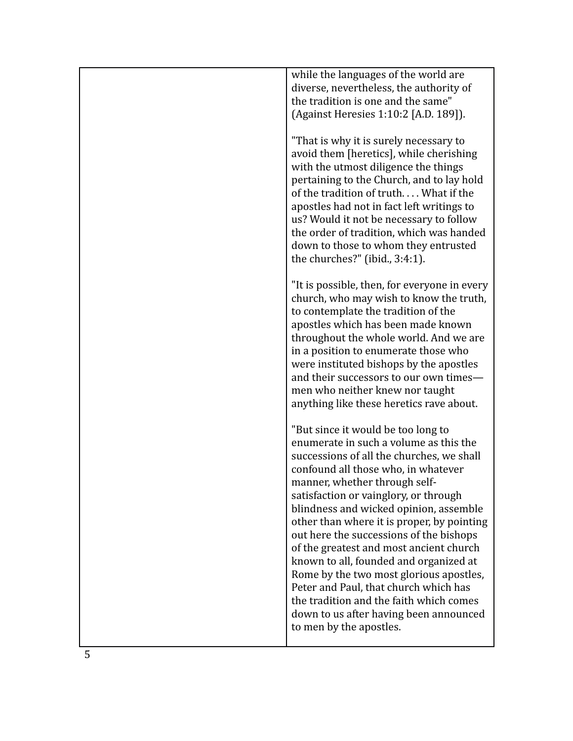| while the languages of the world are<br>diverse, nevertheless, the authority of<br>the tradition is one and the same"<br>(Against Heresies 1:10:2 [A.D. 189]).                                                                                                                                                                                                                                                                                                                                                                                                                                                                                                         |
|------------------------------------------------------------------------------------------------------------------------------------------------------------------------------------------------------------------------------------------------------------------------------------------------------------------------------------------------------------------------------------------------------------------------------------------------------------------------------------------------------------------------------------------------------------------------------------------------------------------------------------------------------------------------|
| "That is why it is surely necessary to<br>avoid them [heretics], while cherishing<br>with the utmost diligence the things<br>pertaining to the Church, and to lay hold<br>of the tradition of truth What if the<br>apostles had not in fact left writings to<br>us? Would it not be necessary to follow<br>the order of tradition, which was handed<br>down to those to whom they entrusted<br>the churches?" (ibid., 3:4:1).                                                                                                                                                                                                                                          |
| "It is possible, then, for everyone in every<br>church, who may wish to know the truth,<br>to contemplate the tradition of the<br>apostles which has been made known<br>throughout the whole world. And we are<br>in a position to enumerate those who<br>were instituted bishops by the apostles<br>and their successors to our own times-<br>men who neither knew nor taught<br>anything like these heretics rave about.                                                                                                                                                                                                                                             |
| "But since it would be too long to<br>enumerate in such a volume as this the<br>successions of all the churches, we shall<br>confound all those who, in whatever<br>manner, whether through self-<br>satisfaction or vainglory, or through<br>blindness and wicked opinion, assemble<br>other than where it is proper, by pointing<br>out here the successions of the bishops<br>of the greatest and most ancient church<br>known to all, founded and organized at<br>Rome by the two most glorious apostles,<br>Peter and Paul, that church which has<br>the tradition and the faith which comes<br>down to us after having been announced<br>to men by the apostles. |